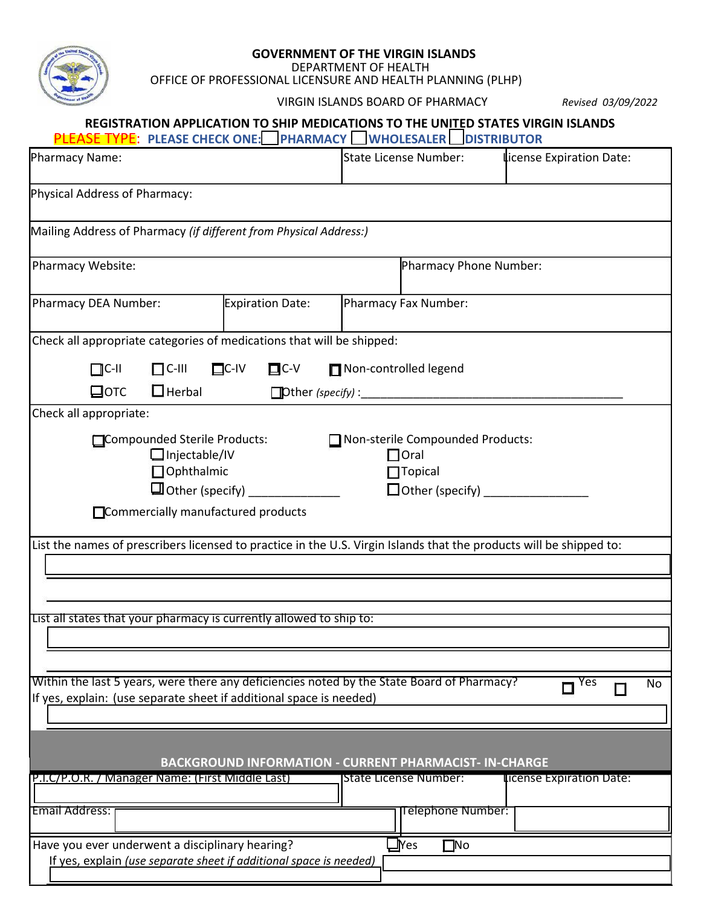

## **GOVERNMENT OF THE VIRGIN ISLANDS**

DEPARTMENT OF HEALTH

OFFICE OF PROFESSIONAL LICENSURE AND HEALTH PLANNING (PLHP)

VIRGIN ISLANDS BOARD OF PHARMACY *Revised 03/09/2022*

| REGISTRATION APPLICATION TO SHIP MEDICATIONS TO THE UNITED STATES VIRGIN ISLANDS |  |  |
|----------------------------------------------------------------------------------|--|--|
|                                                                                  |  |  |

| <b>PLEASE TYPE: PLEASE CHECK ONE: PHARMACY WHOLESALER DISTRIBUTOR</b>                                                                                             |                           |                                                                   |                             |  |  |
|-------------------------------------------------------------------------------------------------------------------------------------------------------------------|---------------------------|-------------------------------------------------------------------|-----------------------------|--|--|
| Pharmacy Name:                                                                                                                                                    |                           | <b>State License Number:</b>                                      | license Expiration Date:    |  |  |
| Physical Address of Pharmacy:                                                                                                                                     |                           |                                                                   |                             |  |  |
| Mailing Address of Pharmacy (if different from Physical Address:)                                                                                                 |                           |                                                                   |                             |  |  |
| Pharmacy Website:                                                                                                                                                 |                           | Pharmacy Phone Number:                                            |                             |  |  |
| Pharmacy DEA Number:                                                                                                                                              | Expiration Date:          | Pharmacy Fax Number:                                              |                             |  |  |
| Check all appropriate categories of medications that will be shipped:                                                                                             |                           |                                                                   |                             |  |  |
| $\Box$ C-III<br>$\prod$ C-II                                                                                                                                      | $\Box$ C-IV<br>$\Box$ C-V | Non-controlled legend                                             |                             |  |  |
| $\Box$ Herbal<br>$\Box$ отс<br>Check all appropriate:                                                                                                             |                           |                                                                   |                             |  |  |
| Compounded Sterile Products:<br>$\Box$ Injectable/IV<br><b>Ophthalmic</b><br>□ Commercially manufactured products                                                 | $\Box$ Other (specify)    | Non-sterile Compounded Products:<br>$\Box$ Oral<br>$\Box$ Topical |                             |  |  |
| List the names of prescribers licensed to practice in the U.S. Virgin Islands that the products will be shipped to:                                               |                           |                                                                   |                             |  |  |
| List all states that your pharmacy is currently allowed to ship to:                                                                                               |                           |                                                                   |                             |  |  |
| Within the last 5 years, were there any deficiencies noted by the State Board of Pharmacy?<br>If yes, explain: (use separate sheet if additional space is needed) |                           |                                                                   | $\overline{\Box}$ Yes<br>No |  |  |
| <b>BACKGROUND INFORMATION - CURRENT PHARMACIST- IN-CHARGE</b>                                                                                                     |                           |                                                                   |                             |  |  |
| P.I.C/P.O.R. / Manager Name: (First Middle Last)<br><b>Email Address:</b>                                                                                         |                           | <b>State License Number:</b><br>Telephone Number:                 | license Expiration Date:    |  |  |
|                                                                                                                                                                   |                           |                                                                   |                             |  |  |
| Have you ever underwent a disciplinary hearing?<br>If yes, explain (use separate sheet if additional space is needed)                                             |                           | $\square$ No<br>$\mathbf{\mathbf{\Psi}}$ es                       |                             |  |  |